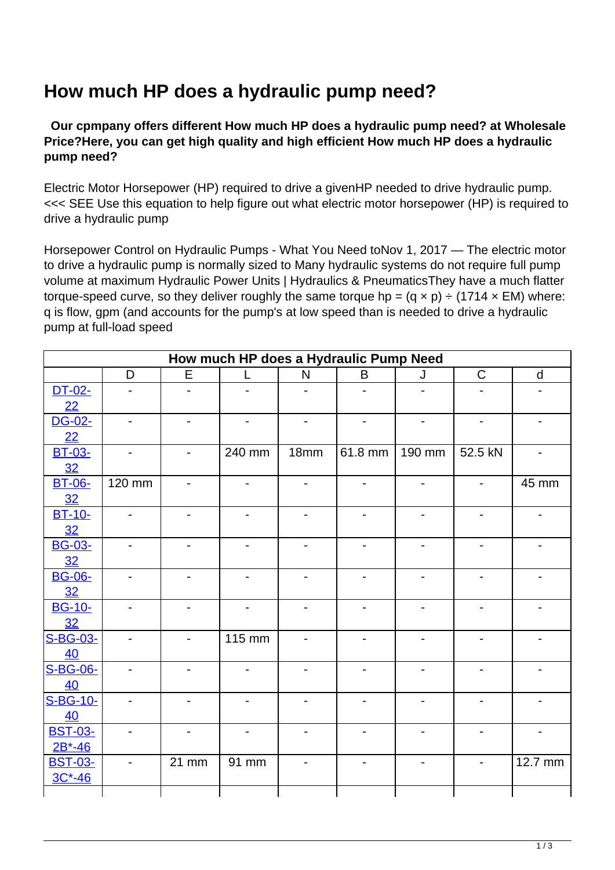## **How much HP does a hydraulic pump need?**

 **Our cpmpany offers different How much HP does a hydraulic pump need? at Wholesale Price?Here, you can get high quality and high efficient How much HP does a hydraulic pump need?**

Electric Motor Horsepower (HP) required to drive a givenHP needed to drive hydraulic pump. <<< SEE Use this equation to help figure out what electric motor horsepower (HP) is required to drive a hydraulic pump

Horsepower Control on Hydraulic Pumps - What You Need toNov 1, 2017 — The electric motor to drive a hydraulic pump is normally sized to Many hydraulic systems do not require full pump volume at maximum Hydraulic Power Units | Hydraulics & PneumaticsThey have a much flatter torque-speed curve, so they deliver roughly the same torque hp =  $(q \times p) \div (1714 \times EM)$  where: q is flow, gpm (and accounts for the pump's at low speed than is needed to drive a hydraulic pump at full-load speed

| How much HP does a Hydraulic Pump Need |                          |                              |                          |                              |                          |                          |                          |                          |
|----------------------------------------|--------------------------|------------------------------|--------------------------|------------------------------|--------------------------|--------------------------|--------------------------|--------------------------|
|                                        | D                        | E                            | L                        | $\mathsf{N}$                 | B                        | J                        | $\mathsf{C}$             | $\mathsf{d}$             |
| DT-02-                                 | $\overline{a}$           |                              |                          |                              |                          |                          |                          |                          |
| 22                                     |                          |                              |                          |                              |                          |                          |                          |                          |
| DG-02-                                 | $\overline{\phantom{a}}$ | $\qquad \qquad \blacksquare$ | $\overline{\phantom{0}}$ | $\qquad \qquad \blacksquare$ | $\overline{\phantom{a}}$ | $\overline{\phantom{a}}$ | $\overline{\phantom{a}}$ | $\blacksquare$           |
| 22                                     |                          |                              |                          |                              |                          |                          |                          |                          |
| <b>BT-03-</b>                          | $\overline{\phantom{a}}$ | $\overline{\phantom{a}}$     | 240 mm                   | 18mm                         | 61.8 mm                  | 190 mm                   | 52.5 kN                  | $\overline{\phantom{a}}$ |
| 32                                     |                          |                              |                          |                              |                          |                          |                          |                          |
| <b>BT-06-</b>                          | 120 mm                   | $\qquad \qquad \blacksquare$ | $\blacksquare$           | $\overline{\phantom{0}}$     | $\overline{\phantom{a}}$ | $\blacksquare$           | $\overline{\phantom{a}}$ | 45 mm                    |
| 32                                     |                          |                              |                          |                              |                          |                          |                          |                          |
| <b>BT-10-</b>                          | $\overline{a}$           | $\blacksquare$               | $\blacksquare$           | $\overline{\phantom{0}}$     | $\blacksquare$           | $\blacksquare$           | $\overline{\phantom{0}}$ |                          |
| 32                                     |                          |                              |                          |                              |                          |                          |                          |                          |
| <b>BG-03-</b>                          |                          |                              |                          |                              |                          |                          |                          |                          |
| 32                                     |                          |                              |                          |                              |                          |                          |                          |                          |
| <b>BG-06-</b>                          | $\overline{\phantom{0}}$ | $\qquad \qquad \blacksquare$ | $\overline{\phantom{0}}$ | $\qquad \qquad \blacksquare$ | $\overline{\phantom{0}}$ |                          |                          |                          |
| 32                                     |                          |                              |                          |                              |                          |                          |                          |                          |
| <b>BG-10-</b>                          | $\overline{\phantom{a}}$ | $\overline{\phantom{a}}$     | $\blacksquare$           | $\overline{\phantom{a}}$     | $\blacksquare$           | $\blacksquare$           | $\blacksquare$           | $\overline{\phantom{a}}$ |
| 32                                     |                          |                              |                          |                              |                          |                          |                          |                          |
| S-BG-03-                               | $\overline{\phantom{a}}$ | $\overline{\phantom{a}}$     | 115 mm                   | $\overline{\phantom{0}}$     | $\overline{\phantom{a}}$ | $\blacksquare$           | $\blacksquare$           | $\blacksquare$           |
| 40                                     |                          |                              |                          |                              |                          |                          |                          |                          |
| S-BG-06-                               | $\overline{\phantom{0}}$ | $\overline{\phantom{a}}$     | $\overline{\phantom{0}}$ | $\blacksquare$               | $\overline{\phantom{0}}$ |                          |                          |                          |
| 40                                     |                          |                              |                          |                              |                          |                          |                          |                          |
| S-BG-10-                               |                          |                              |                          |                              | $\overline{a}$           |                          |                          |                          |
| 40                                     |                          |                              |                          |                              |                          |                          |                          |                          |
| <b>BST-03-</b>                         |                          | $\overline{\phantom{0}}$     |                          |                              |                          |                          |                          |                          |
| $2B*-46$                               |                          |                              |                          |                              |                          |                          |                          |                          |
| <b>BST-03-</b>                         | $\overline{\phantom{a}}$ | 21 mm                        | 91 mm                    | $\qquad \qquad \blacksquare$ | $\overline{\phantom{a}}$ | $\overline{\phantom{0}}$ | $\overline{\phantom{a}}$ | 12.7 mm                  |
| $3C*-46$                               |                          |                              |                          |                              |                          |                          |                          |                          |
|                                        |                          |                              |                          |                              |                          |                          |                          |                          |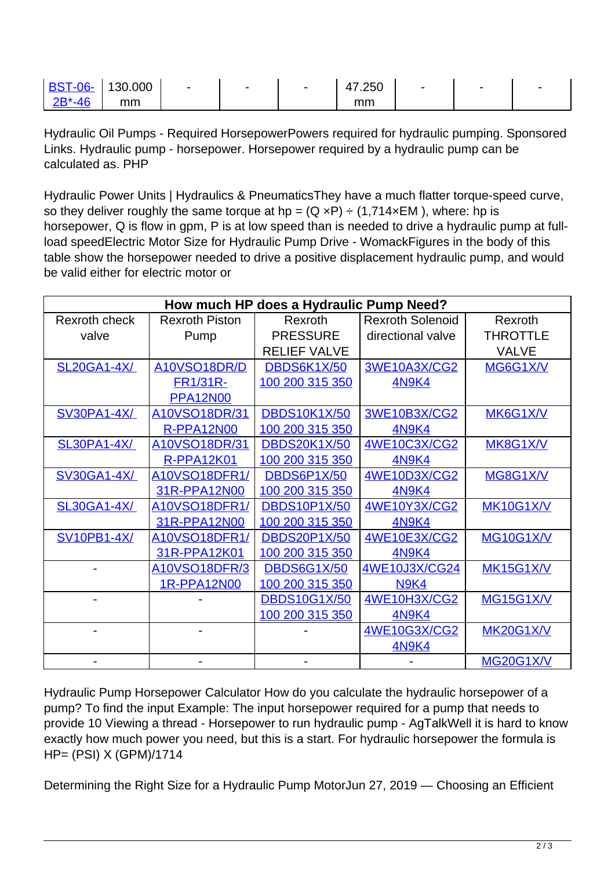| <b>BST-06-</b> | 130.000 | $\overline{\phantom{a}}$ | $\overline{\phantom{0}}$ | - | 7.250 | $\overline{\phantom{0}}$ | - | - |
|----------------|---------|--------------------------|--------------------------|---|-------|--------------------------|---|---|
| AC             | mm      |                          |                          |   | mm    |                          |   |   |

Hydraulic Oil Pumps - Required HorsepowerPowers required for hydraulic pumping. Sponsored Links. Hydraulic pump - horsepower. Horsepower required by a hydraulic pump can be calculated as. PHP

Hydraulic Power Units | Hydraulics & PneumaticsThey have a much flatter torque-speed curve, so they deliver roughly the same torque at hp =  $(Q \times P) \div (1.714 \times EM)$ , where: hp is horsepower, Q is flow in gpm, P is at low speed than is needed to drive a hydraulic pump at fullload speedElectric Motor Size for Hydraulic Pump Drive - WomackFigures in the body of this table show the horsepower needed to drive a positive displacement hydraulic pump, and would be valid either for electric motor or

| How much HP does a Hydraulic Pump Need? |                       |                     |                         |                  |  |  |  |
|-----------------------------------------|-----------------------|---------------------|-------------------------|------------------|--|--|--|
| <b>Rexroth check</b>                    | <b>Rexroth Piston</b> | Rexroth             | <b>Rexroth Solenoid</b> | Rexroth          |  |  |  |
| valve                                   | Pump                  | <b>PRESSURE</b>     | directional valve       | <b>THROTTLE</b>  |  |  |  |
|                                         |                       | <b>RELIEF VALVE</b> |                         | <b>VALVE</b>     |  |  |  |
| <b>SL20GA1-4X/</b>                      | A10VSO18DR/D          | DBDS6K1X/50         | 3WE10A3X/CG2            | MG6G1X/V         |  |  |  |
|                                         | <b>FR1/31R-</b>       | 100 200 315 350     | <b>4N9K4</b>            |                  |  |  |  |
|                                         | <b>PPA12N00</b>       |                     |                         |                  |  |  |  |
| <b>SV30PA1-4X/</b>                      | A10VSO18DR/31         | <b>DBDS10K1X/50</b> | <b>3WE10B3X/CG2</b>     | MK6G1X/V         |  |  |  |
|                                         | <b>R-PPA12N00</b>     | 100 200 315 350     | <b>4N9K4</b>            |                  |  |  |  |
| <b>SL30PA1-4X/</b>                      | A10VSO18DR/31         | <b>DBDS20K1X/50</b> | <b>4WE10C3X/CG2</b>     | MK8G1X/V         |  |  |  |
|                                         | <b>R-PPA12K01</b>     | 100 200 315 350     | <b>4N9K4</b>            |                  |  |  |  |
| <b>SV30GA1-4X/</b>                      | A10VSO18DFR1/         | <b>DBDS6P1X/50</b>  | <b>4WE10D3X/CG2</b>     | MG8G1X/V         |  |  |  |
|                                         | 31R-PPA12N00          | 100 200 315 350     | <b>4N9K4</b>            |                  |  |  |  |
| <b>SL30GA1-4X/</b>                      | <b>A10VSO18DFR1/</b>  | <b>DBDS10P1X/50</b> | 4WE10Y3X/CG2            | <b>MK10G1X/V</b> |  |  |  |
|                                         | 31R-PPA12N00          | 100 200 315 350     | <b>4N9K4</b>            |                  |  |  |  |
| <b>SV10PB1-4X/</b>                      | A10VSO18DFR1/         | <b>DBDS20P1X/50</b> | 4WE10E3X/CG2            | <b>MG10G1X/V</b> |  |  |  |
|                                         | 31R-PPA12K01          | 100 200 315 350     | <b>4N9K4</b>            |                  |  |  |  |
|                                         | A10VSO18DFR/3         | <b>DBDS6G1X/50</b>  | 4WE10J3X/CG24           | <b>MK15G1X/V</b> |  |  |  |
|                                         | 1R-PPA12N00           | 100 200 315 350     | <b>N9K4</b>             |                  |  |  |  |
|                                         |                       | <b>DBDS10G1X/50</b> | <b>4WE10H3X/CG2</b>     | <b>MG15G1X/V</b> |  |  |  |
|                                         |                       | 100 200 315 350     | <b>4N9K4</b>            |                  |  |  |  |
|                                         |                       |                     | 4WE10G3X/CG2            | <b>MK20G1X/V</b> |  |  |  |
|                                         |                       |                     | <b>4N9K4</b>            |                  |  |  |  |
|                                         |                       |                     |                         | <b>MG20G1X/V</b> |  |  |  |

Hydraulic Pump Horsepower Calculator How do you calculate the hydraulic horsepower of a pump? To find the input Example: The input horsepower required for a pump that needs to provide 10 Viewing a thread - Horsepower to run hydraulic pump - AgTalkWell it is hard to know exactly how much power you need, but this is a start. For hydraulic horsepower the formula is HP= (PSI) X (GPM)/1714

Determining the Right Size for a Hydraulic Pump MotorJun 27, 2019 — Choosing an Efficient